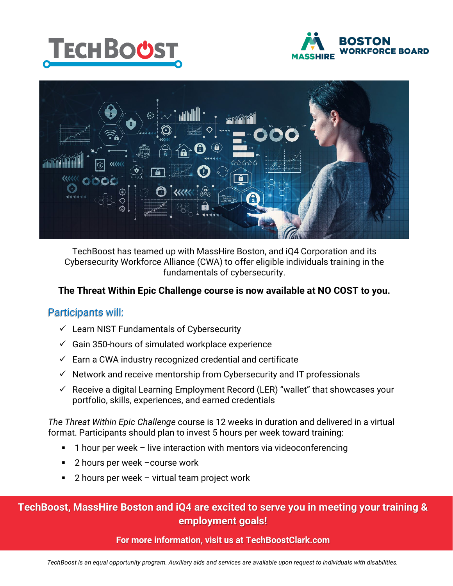





TechBoost has teamed up with MassHire Boston, and iQ4 Corporation and its Cybersecurity Workforce Alliance (CWA) to offer eligible individuals training in the fundamentals of cybersecurity.

### **The Threat Within Epic Challenge course is now available at NO COST to you.**

### Participants will:

- $\checkmark$  Learn NIST Fundamentals of Cybersecurity
- $\checkmark$  Gain 350-hours of simulated workplace experience
- $\checkmark$  Earn a CWA industry recognized credential and certificate
- $\checkmark$  Network and receive mentorship from Cybersecurity and IT professionals
- $\checkmark$  Receive a digital Learning Employment Record (LER) "wallet" that showcases your portfolio, skills, experiences, and earned credentials

*The Threat Within Epic Challenge* course is 12 weeks in duration and delivered in a virtual format. Participants should plan to invest 5 hours per week toward training:

- 1 hour per week live interaction with mentors via videoconferencing
- 2 hours per week –course work
- 2 hours per week virtual team project work

### **TechBoost, MassHire Boston and iQ4 are excited to serve you in meeting your training & employment goals!**

#### **For more information, visit us at TechBoostClark.com**